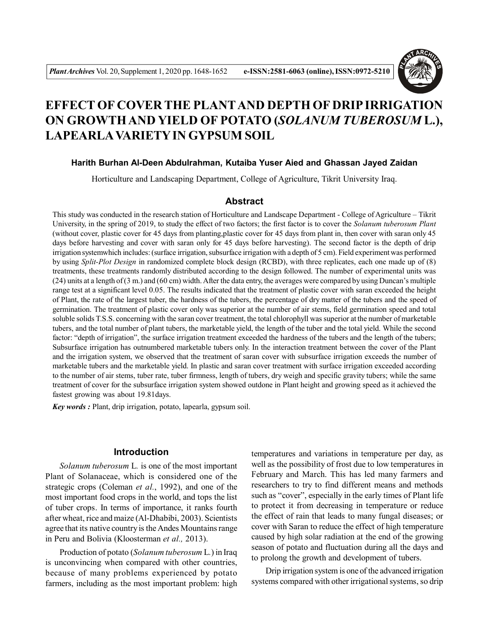

# **EFFECT OF COVER THE PLANTAND DEPTH OF DRIP IRRIGATION ON GROWTH AND YIELD OF POTATO (***SOLANUM TUBEROSUM* **L.), LAPEARLAVARIETY IN GYPSUM SOIL**

### **Harith Burhan Al-Deen Abdulrahman, Kutaiba Yuser Aied and Ghassan Jayed Zaidan**

Horticulture and Landscaping Department, College of Agriculture, Tikrit University Iraq.

#### **Abstract**

This study was conducted in the research station of Horticulture and Landscape Department - College of Agriculture – Tikrit University, in the spring of 2019, to study the effect of two factors; the first factor is to cover the *Solanum tuberosum Plant* (without cover, plastic cover for 45 days from planting,plastic cover for 45 days from plant in, then cover with saran only 45 days before harvesting and cover with saran only for 45 days before harvesting). The second factor is the depth of drip irrigation systemwhich includes: (surface irrigation, subsurface irrigation with a depth of 5 cm). Field experiment was performed by using *Split-Plot Design* in randomized complete block design (RCBD), with three replicates, each one made up of (8) treatments, these treatments randomly distributed according to the design followed. The number of experimental units was (24) units at a length of (3 m.) and (60 cm) width. After the data entry, the averages were compared by using Duncan's multiple range test at a significant level 0.05. The results indicated that the treatment of plastic cover with saran exceeded the height of Plant, the rate of the largest tuber, the hardness of the tubers, the percentage of dry matter of the tubers and the speed of germination. The treatment of plastic cover only was superior at the number of air stems, field germination speed and total soluble solids T.S.S. concerning with the saran cover treatment, the total chlorophyll was superior at the number of marketable tubers, and the total number of plant tubers, the marketable yield, the length of the tuber and the total yield. While the second factor: "depth of irrigation", the surface irrigation treatment exceeded the hardness of the tubers and the length of the tubers; Subsurface irrigation has outnumbered marketable tubers only. In the interaction treatment between the cover of the Plant and the irrigation system, we observed that the treatment of saran cover with subsurface irrigation exceeds the number of marketable tubers and the marketable yield. In plastic and saran cover treatment with surface irrigation exceeded according to the number of air stems, tuber rate, tuber firmness, length of tubers, dry weigh and specific gravity tubers; while the same treatment of cover for the subsurface irrigation system showed outdone in Plant height and growing speed as it achieved the fastest growing was about 19.81days.

*Key words :* Plant, drip irrigation, potato, lapearla, gypsum soil.

## **Introduction**

*Solanum tuberosum* L*.* is one of the most important Plant of Solanaceae, which is considered one of the strategic crops (Coleman *et al.*, 1992), and one of the most important food crops in the world, and tops the list of tuber crops. In terms of importance, it ranks fourth after wheat, rice and maize (Al-Dhabibi, 2003). Scientists agree that its native country is the Andes Mountains range in Peru and Bolivia (Kloosterman *et al.,* 2013).

Production of potato (*Solanum tuberosum* L*.*) in Iraq is unconvincing when compared with other countries, because of many problems experienced by potato farmers, including as the most important problem: high temperatures and variations in temperature per day, as well as the possibility of frost due to low temperatures in February and March. This has led many farmers and researchers to try to find different means and methods such as "cover", especially in the early times of Plant life to protect it from decreasing in temperature or reduce the effect of rain that leads to many fungal diseases; or cover with Saran to reduce the effect of high temperature caused by high solar radiation at the end of the growing season of potato and fluctuation during all the days and to prolong the growth and development of tubers.

Drip irrigation system is one of the advanced irrigation systems compared with other irrigational systems, so drip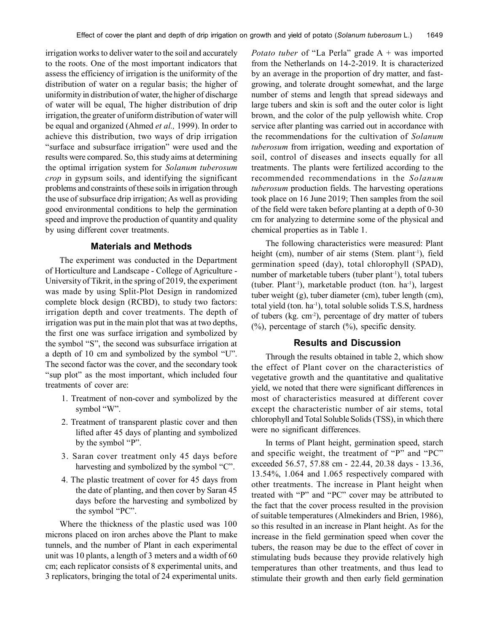irrigation works to deliver water to the soil and accurately to the roots. One of the most important indicators that assess the efficiency of irrigation is the uniformity of the distribution of water on a regular basis; the higher of uniformity in distribution of water, the higher of discharge of water will be equal, The higher distribution of drip irrigation, the greater of uniform distribution of water will be equal and organized (Ahmed *et al.,* 1999). In order to achieve this distribution, two ways of drip irrigation "surface and subsurface irrigation" were used and the results were compared. So, this study aims at determining the optimal irrigation system for *Solanum tuberosum crop* in gypsum soils, and identifying the significant problems and constraints of these soils in irrigation through the use of subsurface drip irrigation; As well as providing good environmental conditions to help the germination speed and improve the production of quantity and quality by using different cover treatments.

### **Materials and Methods**

The experiment was conducted in the Department of Horticulture and Landscape - College of Agriculture - University of Tikrit, in the spring of 2019, the experiment was made by using Split-Plot Design in randomized complete block design (RCBD), to study two factors: irrigation depth and cover treatments. The depth of irrigation was put in the main plot that was at two depths, the first one was surface irrigation and symbolized by the symbol "S", the second was subsurface irrigation at a depth of 10 cm and symbolized by the symbol "U". The second factor was the cover, and the secondary took "sup plot" as the most important, which included four treatments of cover are:

- 1. Treatment of non-cover and symbolized by the symbol "W".
- 2. Treatment of transparent plastic cover and then lifted after 45 days of planting and symbolized by the symbol "P".
- 3. Saran cover treatment only 45 days before harvesting and symbolized by the symbol "C".
- 4. The plastic treatment of cover for 45 days from the date of planting, and then cover by Saran 45 days before the harvesting and symbolized by the symbol "PC".

Where the thickness of the plastic used was 100 microns placed on iron arches above the Plant to make tunnels, and the number of Plant in each experimental unit was 10 plants, a length of 3 meters and a width of 60 cm; each replicator consists of 8 experimental units, and 3 replicators, bringing the total of 24 experimental units. *Potato tuber* of "La Perla" grade A + was imported from the Netherlands on 14-2-2019. It is characterized by an average in the proportion of dry matter, and fastgrowing, and tolerate drought somewhat, and the large number of stems and length that spread sideways and large tubers and skin is soft and the outer color is light brown, and the color of the pulp yellowish white. Crop service after planting was carried out in accordance with the recommendations for the cultivation of *Solanum tuberosum* from irrigation, weeding and exportation of soil, control of diseases and insects equally for all treatments. The plants were fertilized according to the recommended recommendations in the *Solanum tuberosum* production fields. The harvesting operations took place on 16 June 2019; Then samples from the soil of the field were taken before planting at a depth of 0-30 cm for analyzing to determine some of the physical and chemical properties as in Table 1.

The following characteristics were measured: Plant height (cm), number of air stems (Stem. plant<sup>-1</sup>), field germination speed (day), total chlorophyll (SPAD), number of marketable tubers (tuber plant<sup>-1</sup>), total tubers (tuber. Plant-1), marketable product (ton. ha-1), largest tuber weight (g), tuber diameter (cm), tuber length (cm), total yield (ton.  $ha^{-1}$ ), total soluble solids T.S.S, hardness of tubers (kg. cm-2), percentage of dry matter of tubers  $(%)$ , percentage of starch  $(%)$ , specific density.

### **Results and Discussion**

Through the results obtained in table 2, which show the effect of Plant cover on the characteristics of vegetative growth and the quantitative and qualitative yield, we noted that there were significant differences in most of characteristics measured at different cover except the characteristic number of air stems, total chlorophyll and Total Soluble Solids (TSS), in which there were no significant differences.

In terms of Plant height, germination speed, starch and specific weight, the treatment of "P" and "PC" exceeded 56.57, 57.88 cm - 22.44, 20.38 days - 13.36, 13.54%, 1.064 and 1.065 respectively compared with other treatments. The increase in Plant height when treated with "P" and "PC" cover may be attributed to the fact that the cover process resulted in the provision of suitable temperatures (Almekinders and Brien, 1986), so this resulted in an increase in Plant height. As for the increase in the field germination speed when cover the tubers, the reason may be due to the effect of cover in stimulating buds because they provide relatively high temperatures than other treatments, and thus lead to stimulate their growth and then early field germination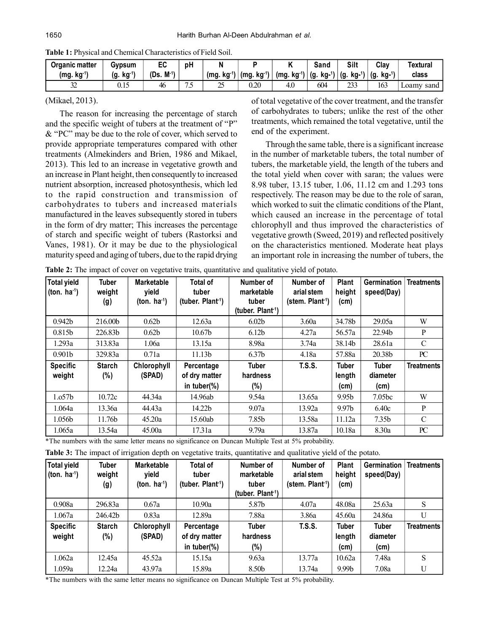| Organic matter          | Gypsum      | cu               | рH |                |             |                | Sand          | Silt | Clay                        | Textural         |
|-------------------------|-------------|------------------|----|----------------|-------------|----------------|---------------|------|-----------------------------|------------------|
| (mg. kg <sup>-1</sup> ` | kq '<br>(g. | $M^{-1}$<br>(Ds. |    | . ka '<br>(mg. | (mg.<br>kq. | $kg-1$<br>(mq. | (g<br>. kg-'' |      | $\overline{A}$<br>(g<br>kg- | class            |
| $\sim$<br>سدت           | U. LJ       | 46               | سم | سم             | $0.20\,$    | 4.0            | 604           | 233  | 163                         | sand,<br>∟oamy ∩ |

**Table 1:** Physical and Chemical Characteristics of Field Soil.

#### (Mikael, 2013).

The reason for increasing the percentage of starch and the specific weight of tubers at the treatment of "P" & "PC" may be due to the role of cover, which served to provide appropriate temperatures compared with other treatments (Almekinders and Brien, 1986 and Mikael, 2013). This led to an increase in vegetative growth and an increase in Plant height, then consequently to increased nutrient absorption, increased photosynthesis, which led to the rapid construction and transmission of carbohydrates to tubers and increased materials manufactured in the leaves subsequently stored in tubers in the form of dry matter; This increases the percentage of starch and specific weight of tubers (Rastorksi and Vanes, 1981). Or it may be due to the physiological maturity speed and aging of tubers, due to the rapid drying

of total vegetative of the cover treatment, and the transfer of carbohydrates to tubers; unlike the rest of the other treatments, which remained the total vegetative, until the end of the experiment.

Through the same table, there is a significant increase in the number of marketable tubers, the total number of tubers, the marketable yield, the length of the tubers and the total yield when cover with saran; the values were 8.98 tuber, 13.15 tuber, 1.06, 11.12 cm and 1.293 tons respectively. The reason may be due to the role of saran, which worked to suit the climatic conditions of the Plant. which caused an increase in the percentage of total chlorophyll and thus improved the characteristics of vegetative growth (Sweed, 2019) and reflected positively on the characteristics mentioned. Moderate heat plays an important role in increasing the number of tubers, the

**Table 2:** The impact of cover on vegetative traits, quantitative and qualitative yield of potato.

| <b>Total yield</b><br>(ton. $ha^{-1}$ ) | <b>Tuber</b><br>weight<br>(g) | <b>Marketable</b><br>vield<br>(ton. $ha^{-1}$ ) | <b>Total of</b><br>tuber<br>(tuber. $Plan1$ ) | Number of<br>marketable<br>tuber<br>(tuber. $Plan1$ ) | Number of<br>arial stem<br>(stem. Plant <sup>-1</sup> ) | Plant<br>height<br>(cm) | Germination<br>speed(Day) | <b>Treatments</b> |
|-----------------------------------------|-------------------------------|-------------------------------------------------|-----------------------------------------------|-------------------------------------------------------|---------------------------------------------------------|-------------------------|---------------------------|-------------------|
| 0.942 <sub>b</sub>                      | 216.00b                       | 0.62 <sub>b</sub>                               | 12.63a                                        | 6.02 <sub>b</sub>                                     | 3.60a                                                   | 34.78b                  | 29.05a                    | W                 |
| 0.815b                                  | 226.83b                       | 0.62 <sub>b</sub>                               | 10.67 <sub>b</sub>                            | 6.12 <sub>b</sub>                                     | 4.27a                                                   | 56.57a                  | 22.94b                    | P                 |
| 1.293a                                  | 313.83a                       | 1.06a                                           | 13.15a                                        | 8.98a                                                 | 3.74a                                                   | 38.14b                  | 28.61a                    | C                 |
| 0.901 <sub>b</sub>                      | 329.83a                       | 0.71a                                           | 11.13 <sub>b</sub>                            | 6.37 <sub>b</sub>                                     | 4.18a                                                   | 57.88a                  | 20.38b                    | PC                |
| <b>Specific</b><br>weight               | <b>Starch</b><br>$(\%)$       | Chlorophyll<br>(SPAD)                           | Percentage<br>of dry matter                   | <b>Tuber</b><br>hardness                              | <b>T.S.S.</b>                                           | <b>Tuber</b><br>length  | <b>Tuber</b><br>diameter  | <b>Treatments</b> |
|                                         |                               |                                                 | in tuber $(\%)$                               | (%)                                                   |                                                         | (cm)                    | (cm)                      |                   |
| 1.057 <sub>b</sub>                      | 10.72c                        | 44.34a                                          | 14.96ab                                       | 9.54a                                                 | 13.65a                                                  | 9.95b                   | 7.05 <sub>bc</sub>        | W                 |
| 1.064a                                  | 13.36a                        | 44.43a                                          | 14.22b                                        | 9.07a                                                 | 13.92a                                                  | 9.97 <sub>b</sub>       | 6.40c                     | P                 |
| 1.056b                                  | 11.76b                        | 45.20a                                          | 15.60ab                                       | 7.85b                                                 | 13.58a                                                  | 11.12a                  | 7.35 <sub>b</sub>         | C                 |
| 1.065a                                  | 13.54a                        | 45.00a                                          | 17.31a                                        | 9.79a                                                 | 13.87a                                                  | 10.18a                  | 8.30a                     | PC                |

\*The numbers with the same letter means no significance on Duncan Multiple Test at 5% probability.

**Table 3:** The impact of irrigation depth on vegetative traits, quantitative and qualitative yield of the potato.

| <b>Total yield</b><br>(ton. $ha^{-1}$ ) | Tuber<br>weight<br>(g) | <b>Marketable</b><br>vield<br>(ton. $ha^{-1}$ ) | Total of<br>tuber<br>(tuber. $Plant1$ )        | Number of<br>marketable<br>tuber<br>(tuber. Plant <sup>-1</sup> ) | Number of<br>arial stem<br>(stem. $Plant1$ ) | <b>Plant</b><br>height<br>(cm) | <b>Germination</b><br>speed(Day) | <b>Treatments</b> |
|-----------------------------------------|------------------------|-------------------------------------------------|------------------------------------------------|-------------------------------------------------------------------|----------------------------------------------|--------------------------------|----------------------------------|-------------------|
| 0.908a                                  | 296.83a                | 0.67a                                           | 10.90a                                         | 5.87b                                                             | 4.07a                                        | 48.08a                         | 25.63a                           | S                 |
| 1.067a                                  | 246.42b                | 0.83a                                           | 12.89a                                         | 7.88a                                                             | 3.86a                                        | 45.60a                         | 24.86a                           | U                 |
| <b>Specific</b><br>weight               | <b>Starch</b><br>(%)   | Chlorophyll<br>(SPAD)                           | Percentage<br>of dry matter<br>in tuber $(\%)$ | Tuber<br>hardness<br>(%)                                          | <b>T.S.S.</b>                                | <b>Tuber</b><br>length<br>(cm) | <b>Tuber</b><br>diameter<br>(cm) | <b>Treatments</b> |
| 1.062a                                  | 12.45a                 | 45.52a                                          | 15.15a                                         | 9.63a                                                             | 13.77a                                       | 10.62a                         | 7.48a                            | S                 |
| 1.059a                                  | 12.24a                 | 43.97a                                          | 15.89a                                         | 8.50b                                                             | 13.74a                                       | 9.99b                          | 7.08a                            | U                 |

\*The numbers with the same letter means no significance on Duncan Multiple Test at 5% probability.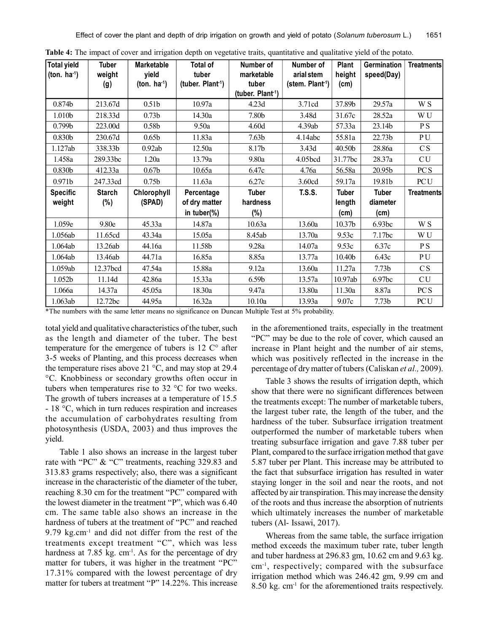| <b>Total yield</b><br>(ton. $ha^{-1}$ ) | Tuber<br>weight | <b>Marketable</b><br>yield | <b>Total of</b><br>tuber     | Number of<br>marketable       | Number of<br>arial stem     | Plant<br>height | Germination<br>speed(Day) | <b>Treatments</b> |
|-----------------------------------------|-----------------|----------------------------|------------------------------|-------------------------------|-----------------------------|-----------------|---------------------------|-------------------|
|                                         | (g)             | (ton. $ha^{-1}$ )          | (tuber. Plant <sup>1</sup> ) | tuber                         | (stem. Plant <sup>1</sup> ) | (cm)            |                           |                   |
|                                         |                 |                            |                              | (tuber. Plant <sup>-1</sup> ) |                             |                 |                           |                   |
| 0.874b                                  | 213.67d         | 0.51 <sub>b</sub>          | 10.97a                       | 4.23d                         | 3.71cd                      | 37.89b          | 29.57a                    | W S               |
| 1.010b                                  | 218.33d         | 0.73 <sub>b</sub>          | 14.30a                       | 7.80b                         | 3.48d                       | 31.67c          | 28.52a                    | WU                |
| 0.799 <sub>b</sub>                      | 223.00d         | 0.58 <sub>b</sub>          | 9.50a                        | 4.60d                         | 4.39ab                      | 57.33a          | 23.14b                    | P S               |
| 0.830 <sub>b</sub>                      | 230.67d         | 0.65 <sub>b</sub>          | 11.83a                       | 7.63 <sub>b</sub>             | 4.14abc                     | 55.81a          | 22.73b                    | P U               |
| 1.127ab                                 | 338.33b         | 0.92ab                     | 12.50a                       | 8.17b                         | 3.43d                       | 40.50b          | 28.86a                    | CS                |
| 1.458a                                  | 289.33bc        | 1.20a                      | 13.79a                       | 9.80a                         | 4.05bcd                     | 31.77bc         | 28.37a                    | CU                |
| 0.830b                                  | 412.33a         | 0.67 <sub>b</sub>          | 10.65a                       | 6.47c                         | 4.76a                       | 56.58a          | 20.95b                    | <b>PCS</b>        |
| 0.971b                                  | 247.33cd        | 0.75 <sub>b</sub>          | 11.63a                       | 6.27c                         | 3.60cd                      | 59.17a          | 19.81b                    | <b>PCU</b>        |
| <b>Specific</b>                         | <b>Starch</b>   | Chlorophyll                | Percentage                   | <b>Tuber</b>                  | <b>T.S.S.</b>               | <b>Tuber</b>    | <b>Tuber</b>              | <b>Treatments</b> |
| weight                                  | $(\%)$          | (SPAD)                     | of dry matter                | hardness                      |                             | length          | diameter                  |                   |
|                                         |                 |                            | in tuber(%)                  | (%)                           |                             | (cm)            | (cm)                      |                   |
| 1.059e                                  | 9.80e           | 45.33a                     | 14.87a                       | 10.63a                        | 13.60a                      | 10.37b          | 6.93bc                    | W S               |
| 1.056ab                                 | 11.65cd         | 43.34a                     | 15.05a                       | 8.45ab                        | 13.70a                      | 9.53c           | 7.17bc                    | W U               |
| 1.064ab                                 | 13.26ab         | 44.16a                     | 11.58b                       | 9.28a                         | 14.07a                      | 9.53c           | 6.37c                     | P <sub>S</sub>    |
| 1.064ab                                 | 13.46ab         | 44.71a                     | 16.85a                       | 8.85a                         | 13.77a                      | 10.40b          | 6.43c                     | PU                |
| 1.059ab                                 | 12.37bcd        | 47.54a                     | 15.88a                       | 9.12a                         | 13.60a                      | 11.27a          | 7.73 <sub>b</sub>         | CS                |
| 1.052b                                  | 11.14d          | 42.86a                     | 15.33a                       | 6.59 <sub>b</sub>             | 13.57a                      | 10.97ab         | 6.97 <sub>bc</sub>        | CU                |
| 1.066a                                  | 14.37a          | 45.05a                     | 18.30a                       | 9.47a                         | 13.80a                      | 11.30a          | 8.87a                     | <b>PCS</b>        |
| 1.063ab                                 | 12.72bc         | 44.95a                     | 16.32a                       | 10.10a                        | 13.93a                      | 9.07c           | 7.73 <sub>b</sub>         | <b>PCU</b>        |

Table 4: The impact of cover and irrigation depth on vegetative traits, quantitative and qualitative yield of the potato.

\*The numbers with the same letter means no significance on Duncan Multiple Test at 5% probability.

total yield and qualitative characteristics of the tuber, such as the length and diameter of the tuber. The best temperature for the emergence of tubers is  $12 \degree C^{\circ}$  after 3-5 weeks of Planting, and this process decreases when the temperature rises above 21  $^{\circ}$ C, and may stop at 29.4 °C. Knobbiness or secondary growths often occur in tubers when temperatures rise to 32 °C for two weeks. The growth of tubers increases at a temperature of 15.5 - 18 °C, which in turn reduces respiration and increases the accumulation of carbohydrates resulting from photosynthesis (USDA, 2003) and thus improves the yield.

Table 1 also shows an increase in the largest tuber rate with "PC" & "C" treatments, reaching 329.83 and 313.83 grams respectively; also, there was a significant increase in the characteristic of the diameter of the tuber, reaching 8.30 cm for the treatment "PC" compared with the lowest diameter in the treatment "P", which was 6.40 cm. The same table also shows an increase in the hardness of tubers at the treatment of "PC" and reached 9.79 kg.cm-1 and did not differ from the rest of the treatments except treatment "C", which was less hardness at  $7.85 \text{ kg}$ . cm<sup>-1</sup>. As for the percentage of dry matter for tubers, it was higher in the treatment "PC" 17.31% compared with the lowest percentage of dry matter for tubers at treatment "P" 14.22%. This increase

in the aforementioned traits, especially in the treatment "PC" may be due to the role of cover, which caused an increase in Plant height and the number of air stems, which was positively reflected in the increase in the percentage of dry matter of tubers (Caliskan *et al.,* 2009).

Table 3 shows the results of irrigation depth, which show that there were no significant differences between the treatments except: The number of marketable tubers, the largest tuber rate, the length of the tuber, and the hardness of the tuber. Subsurface irrigation treatment outperformed the number of marketable tubers when treating subsurface irrigation and gave 7.88 tuber per Plant, compared to the surface irrigation method that gave 5.87 tuber per Plant. This increase may be attributed to the fact that subsurface irrigation has resulted in water staying longer in the soil and near the roots, and not affected by air transpiration. This may increase the density of the roots and thus increase the absorption of nutrients which ultimately increases the number of marketable tubers (Al- Issawi, 2017).

Whereas from the same table, the surface irrigation method exceeds the maximum tuber rate, tuber length and tuber hardness at 296.83 gm, 10.62 cm and 9.63 kg. cm-1, respectively; compared with the subsurface irrigation method which was 246.42 gm, 9.99 cm and 8.50 kg. cm-1 for the aforementioned traits respectively.